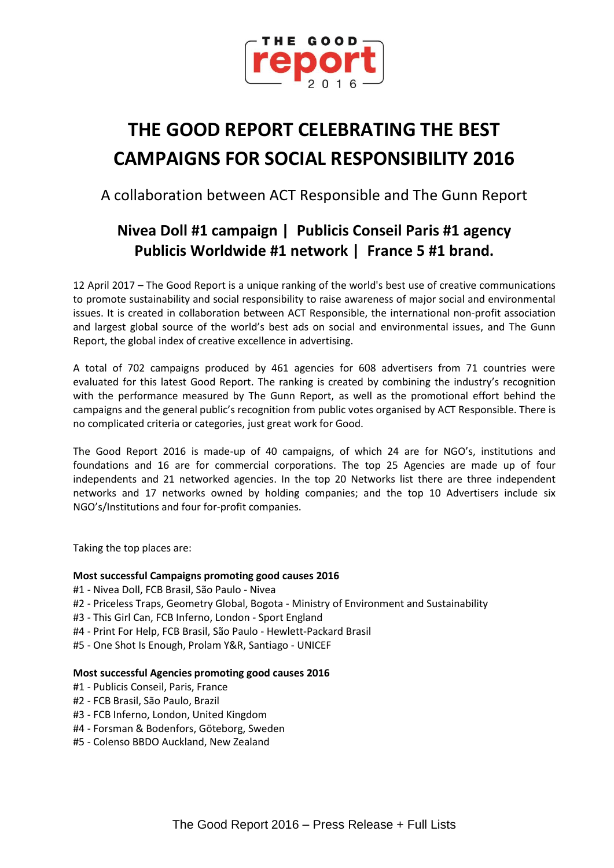

# **THE GOOD REPORT CELEBRATING THE BEST CAMPAIGNS FOR SOCIAL RESPONSIBILITY 2016**

A collaboration between ACT Responsible and The Gunn Report

## **Nivea Doll #1 campaign | Publicis Conseil Paris #1 agency Publicis Worldwide #1 network | France 5 #1 brand.**

12 April 2017 – The Good Report is a unique ranking of the world's best use of creative communications to promote sustainability and social responsibility to raise awareness of major social and environmental issues. It is created in collaboration between ACT Responsible, the international non-profit association and largest global source of the world's best ads on social and environmental issues, and The Gunn Report, the global index of creative excellence in advertising.

A total of 702 campaigns produced by 461 agencies for 608 advertisers from 71 countries were evaluated for this latest Good Report. The ranking is created by combining the industry's recognition with the performance measured by The Gunn Report, as well as the promotional effort behind the campaigns and the general public's recognition from public votes organised by ACT Responsible. There is no complicated criteria or categories, just great work for Good.

The Good Report 2016 is made-up of 40 campaigns, of which 24 are for NGO's, institutions and foundations and 16 are for commercial corporations. The top 25 Agencies are made up of four independents and 21 networked agencies. In the top 20 Networks list there are three independent networks and 17 networks owned by holding companies; and the top 10 Advertisers include six NGO's/Institutions and four for-profit companies.

Taking the top places are:

### **Most successful Campaigns promoting good causes 2016**

- #1 Nivea Doll, FCB Brasil, São Paulo Nivea
- #2 Priceless Traps, Geometry Global, Bogota Ministry of Environment and Sustainability
- #3 This Girl Can, FCB Inferno, London Sport England
- #4 Print For Help, FCB Brasil, São Paulo Hewlett-Packard Brasil
- #5 One Shot Is Enough, Prolam Y&R, Santiago UNICEF

#### **Most successful Agencies promoting good causes 2016**

- #1 Publicis Conseil, Paris, France
- #2 FCB Brasil, São Paulo, Brazil
- #3 FCB Inferno, London, United Kingdom
- #4 Forsman & Bodenfors, Göteborg, Sweden
- #5 Colenso BBDO Auckland, New Zealand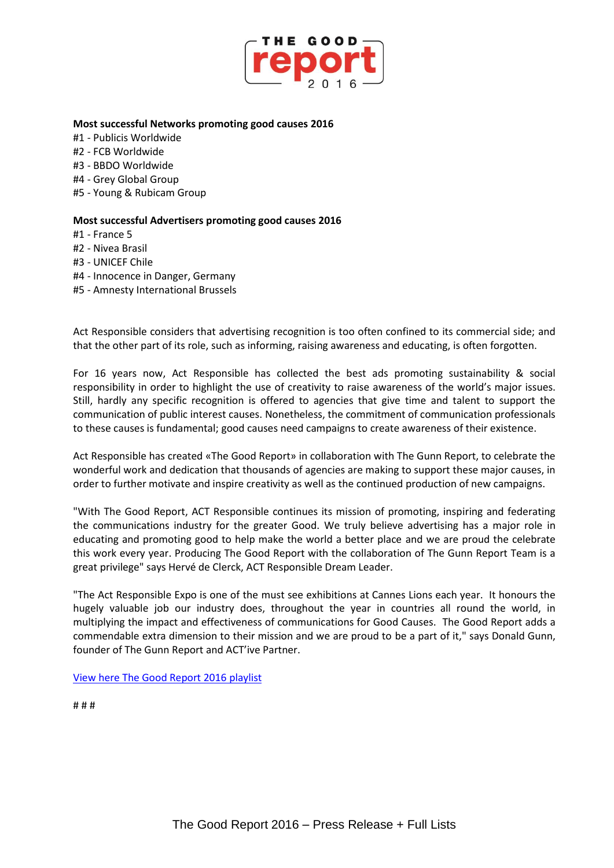

#### **Most successful Networks promoting good causes 2016**

- #1 Publicis Worldwide
- #2 FCB Worldwide
- #3 BBDO Worldwide
- #4 Grey Global Group
- #5 Young & Rubicam Group

#### **Most successful Advertisers promoting good causes 2016**

#1 - France 5

- #2 Nivea Brasil
- #3 UNICEF Chile
- #4 Innocence in Danger, Germany
- #5 Amnesty International Brussels

Act Responsible considers that advertising recognition is too often confined to its commercial side; and that the other part of its role, such as informing, raising awareness and educating, is often forgotten.

For 16 years now, Act Responsible has collected the best ads promoting sustainability & social responsibility in order to highlight the use of creativity to raise awareness of the world's major issues. Still, hardly any specific recognition is offered to agencies that give time and talent to support the communication of public interest causes. Nonetheless, the commitment of communication professionals to these causes is fundamental; good causes need campaigns to create awareness of their existence.

Act Responsible has created «The Good Report» in collaboration with The Gunn Report, to celebrate the wonderful work and dedication that thousands of agencies are making to support these major causes, in order to further motivate and inspire creativity as well as the continued production of new campaigns.

"With The Good Report, ACT Responsible continues its mission of promoting, inspiring and federating the communications industry for the greater Good. We truly believe advertising has a major role in educating and promoting good to help make the world a better place and we are proud the celebrate this work every year. Producing The Good Report with the collaboration of The Gunn Report Team is a great privilege" says Hervé de Clerck, ACT Responsible Dream Leader.

"The Act Responsible Expo is one of the must see exhibitions at Cannes Lions each year. It honours the hugely valuable job our industry does, throughout the year in countries all round the world, in multiplying the impact and effectiveness of communications for Good Causes. The Good Report adds a commendable extra dimension to their mission and we are proud to be a part of it," says Donald Gunn, founder of The Gunn Report and ACT'ive Partner.

[View here The Good Report 2016](https://act.adforum.com/creative-work/playlist/12841/the-good-report-16-top40-campaigns) playlist

# # #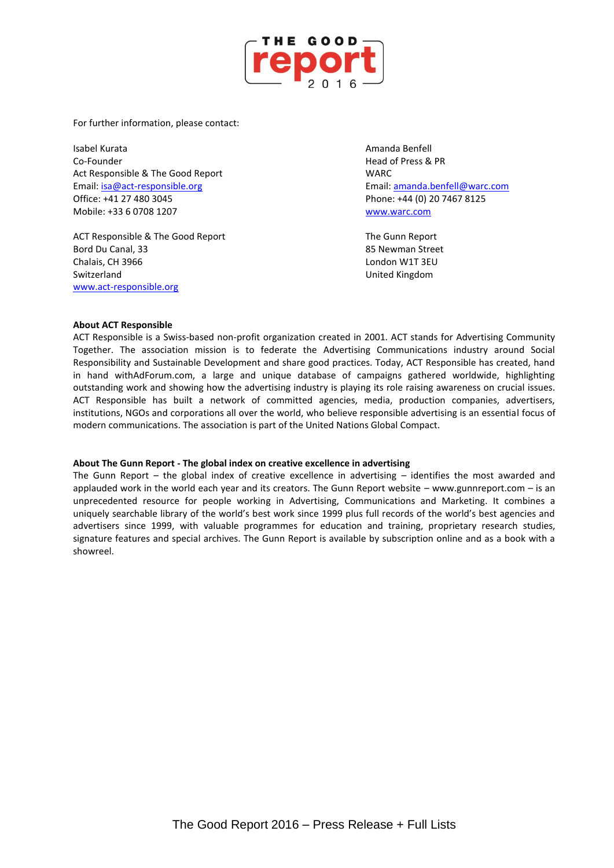

For further information, please contact:

Isabel Kurata Amanda Benfell Co-Founder Head of Press & PR Act Responsible & The Good Report National Section Act Responsible & The Good Report Email: [isa@act-responsible.org](mailto:isa@act-responsible.org) Email[: amanda.benfell@warc.com](mailto:amanda.benfell@warc.com) Office: +41 27 480 3045 Phone: +44 (0) 20 7467 8125 Mobile: +33 6 0708 1207 [www.warc.com](http://www.warc.com/)

ACT Responsible & The Good Report The Gunn Report Bord Du Canal, 33 **Bord Du Canal, 33 Bord Du Canal**, 33 **85 Newman Street** Chalais, CH 3966 **London W1T 3EU** Switzerland United Kingdom [www.act-responsible.org](http://www.act-responsible.org/)

#### **About ACT Responsible**

ACT Responsible is a Swiss-based non-profit organization created in 2001. ACT stands for Advertising Community Together. The association mission is to federate the Advertising Communications industry around Social Responsibility and Sustainable Development and share good practices. Today, ACT Responsible has created, hand in hand withAdForum.com, a large and unique database of campaigns gathered worldwide, highlighting outstanding work and showing how the advertising industry is playing its role raising awareness on crucial issues. ACT Responsible has built a network of committed agencies, media, production companies, advertisers, institutions, NGOs and corporations all over the world, who believe responsible advertising is an essential focus of modern communications. The association is part of the United Nations Global Compact.

#### **About The Gunn Report - The global index on creative excellence in advertising**

The Gunn Report – the global index of creative excellence in advertising – identifies the most awarded and applauded work in the world each year and its creators. The Gunn Report website – www.gunnreport.com – is an unprecedented resource for people working in Advertising, Communications and Marketing. It combines a uniquely searchable library of the world's best work since 1999 plus full records of the world's best agencies and advertisers since 1999, with valuable programmes for education and training, proprietary research studies, signature features and special archives. The Gunn Report is available by subscription online and as a book with a showreel.